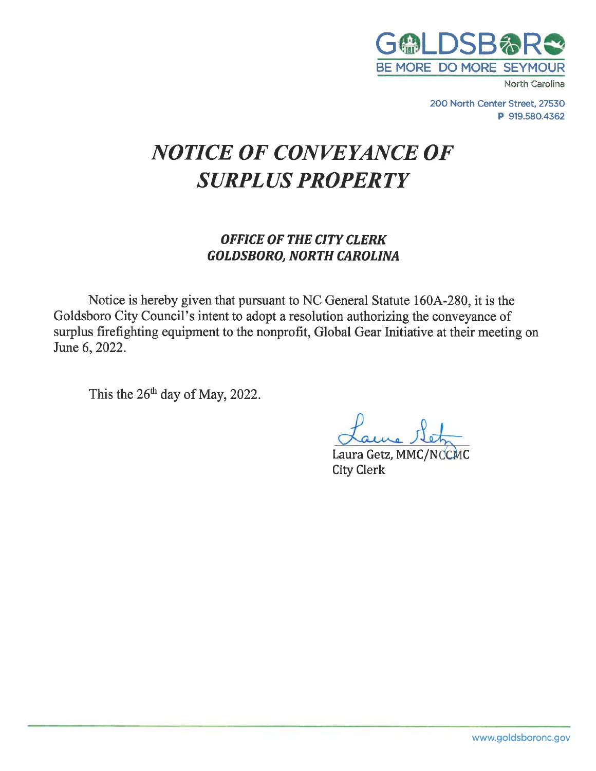

North Carolina

200 North Center Street, 27530 P 919.580.4362

# **NOTICE OF CONVEYANCE OF SURPLUS PROPERTY**

## **OFFICE OF THE CITY CLERK GOLDSBORO, NORTH CAROLINA**

Notice is hereby given that pursuant to NC General Statute 160A-280, it is the Goldsboro City Council's intent to adopt a resolution authorizing the conveyance of surplus firefighting equipment to the nonprofit, Global Gear Initiative at their meeting on June 6, 2022.

This the 26<sup>th</sup> day of May, 2022.

Laura Getz, MMC/NCCMC **City Clerk**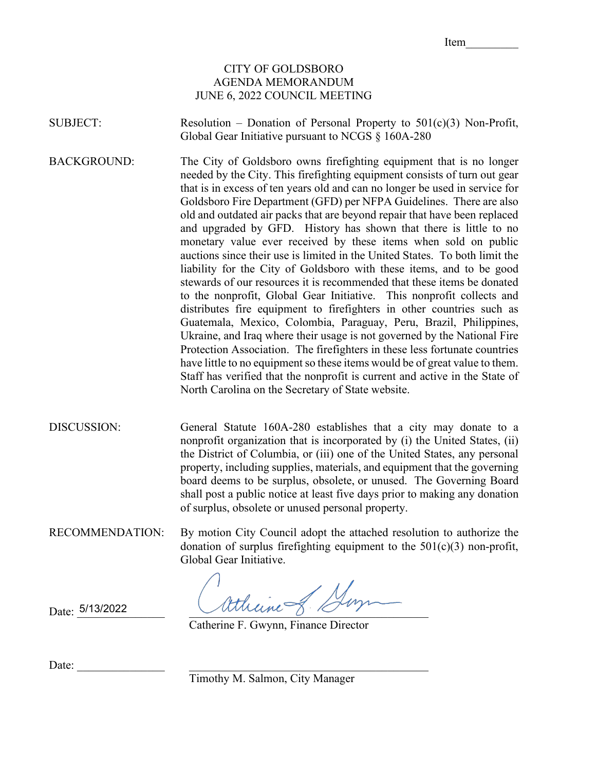Item\_\_\_\_\_\_\_\_\_

### CITY OF GOLDSBORO AGENDA MEMORANDUM JUNE 6, 2022 COUNCIL MEETING

SUBJECT: Resolution – Donation of Personal Property to 501(c)(3) Non-Profit, Global Gear Initiative pursuant to NCGS § 160A-280

BACKGROUND: The City of Goldsboro owns firefighting equipment that is no longer needed by the City. This firefighting equipment consists of turn out gear that is in excess of ten years old and can no longer be used in service for Goldsboro Fire Department (GFD) per NFPA Guidelines. There are also old and outdated air packs that are beyond repair that have been replaced and upgraded by GFD. History has shown that there is little to no monetary value ever received by these items when sold on public auctions since their use is limited in the United States. To both limit the liability for the City of Goldsboro with these items, and to be good stewards of our resources it is recommended that these items be donated to the nonprofit, Global Gear Initiative. This nonprofit collects and distributes fire equipment to firefighters in other countries such as Guatemala, Mexico, Colombia, Paraguay, Peru, Brazil, Philippines, Ukraine, and Iraq where their usage is not governed by the National Fire Protection Association. The firefighters in these less fortunate countries have little to no equipment so these items would be of great value to them. Staff has verified that the nonprofit is current and active in the State of North Carolina on the Secretary of State website.

DISCUSSION: General Statute 160A-280 establishes that a city may donate to a nonprofit organization that is incorporated by (i) the United States, (ii) the District of Columbia, or (iii) one of the United States, any personal property, including supplies, materials, and equipment that the governing board deems to be surplus, obsolete, or unused. The Governing Board shall post a public notice at least five days prior to making any donation of surplus, obsolete or unused personal property.

RECOMMENDATION: By motion City Council adopt the attached resolution to authorize the donation of surplus firefighting equipment to the  $501(c)(3)$  non-profit, Global Gear Initiative.

Attheine of Duy

5/13/2022

Catherine F. Gwynn, Finance Director

Timothy M. Salmon, City Manager

Date: \_\_\_\_\_\_\_\_\_\_\_\_\_\_\_ \_\_\_\_\_\_\_\_\_\_\_\_\_\_\_\_\_\_\_\_\_\_\_\_\_\_\_\_\_\_\_\_\_\_\_\_\_\_\_\_\_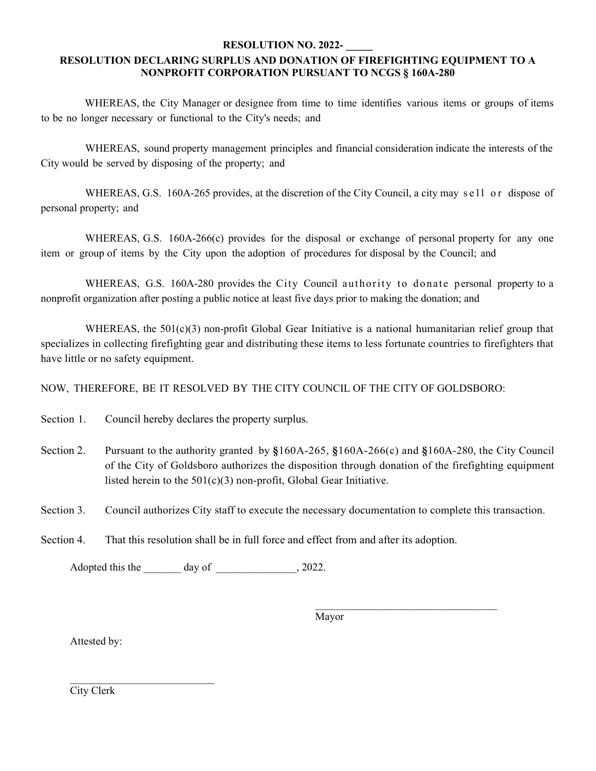#### **RESOLUTION NO. 2022- \_\_\_\_\_**

#### **RESOLUTION DECLARING SURPLUS AND DONATION OF FIREFIGHTING EQUIPMENT TO A NONPROFIT CORPORATION PURSUANT TO NCGS § 160A-280**

WHEREAS, the City Manager or designee from time to time identifies various items or groups of items to be no longer necessary or functional to the City's needs; and

WHEREAS, sound property management principles and financial consideration indicate the interests of the City would be served by disposing of the property; and

WHEREAS, G.S. 160A-265 provides, at the discretion of the City Council, a city may sell or dispose of personal property; and

WHEREAS, G.S. 160A-266(c) provides for the disposal or exchange of personal property for any one item or group of items by the City upon the adoption of procedures for disposal by the Council; and

WHEREAS, G.S. 160A-280 provides the City Council authority to donate personal property to a nonprofit organization after posting a public notice at least five days prior to making the donation; and

WHEREAS, the  $501(c)(3)$  non-profit Global Gear Initiative is a national humanitarian relief group that specializes in collecting firefighting gear and distributing these items to less fortunate countries to firefighters that have little or no safety equipment.

NOW, THEREFORE, BE IT RESOLVED BY THE CITY COUNCIL OF THE CITY OF GOLDSBORO:

Section 1. Council hereby declares the property surplus.

- Section 2. Pursuant to the authority granted by **§**160A-265, **§**160A-266(c) and **§**160A-280, the City Council of the City of Goldsboro authorizes the disposition through donation of the firefighting equipment listed herein to the 501(c)(3) non-profit, Global Gear Initiative.
- Section 3. Council authorizes City staff to execute the necessary documentation to complete this transaction.
- Section 4. That this resolution shall be in full force and effect from and after its adoption.

Adopted this the day of  $\qquad \qquad$ , 2022.

Mayor

 $\overline{\phantom{a}}$  , where  $\overline{\phantom{a}}$  , where  $\overline{\phantom{a}}$  ,  $\overline{\phantom{a}}$  ,  $\overline{\phantom{a}}$  ,  $\overline{\phantom{a}}$  ,  $\overline{\phantom{a}}$  ,  $\overline{\phantom{a}}$  ,  $\overline{\phantom{a}}$  ,  $\overline{\phantom{a}}$  ,  $\overline{\phantom{a}}$  ,  $\overline{\phantom{a}}$  ,  $\overline{\phantom{a}}$  ,  $\overline{\phantom{a}}$  ,  $\overline{\phantom{a}}$  ,

Attested by:

City Clerk

 $\frac{1}{2}$  ,  $\frac{1}{2}$  ,  $\frac{1}{2}$  ,  $\frac{1}{2}$  ,  $\frac{1}{2}$  ,  $\frac{1}{2}$  ,  $\frac{1}{2}$  ,  $\frac{1}{2}$  ,  $\frac{1}{2}$  ,  $\frac{1}{2}$  ,  $\frac{1}{2}$  ,  $\frac{1}{2}$  ,  $\frac{1}{2}$  ,  $\frac{1}{2}$  ,  $\frac{1}{2}$  ,  $\frac{1}{2}$  ,  $\frac{1}{2}$  ,  $\frac{1}{2}$  ,  $\frac{1$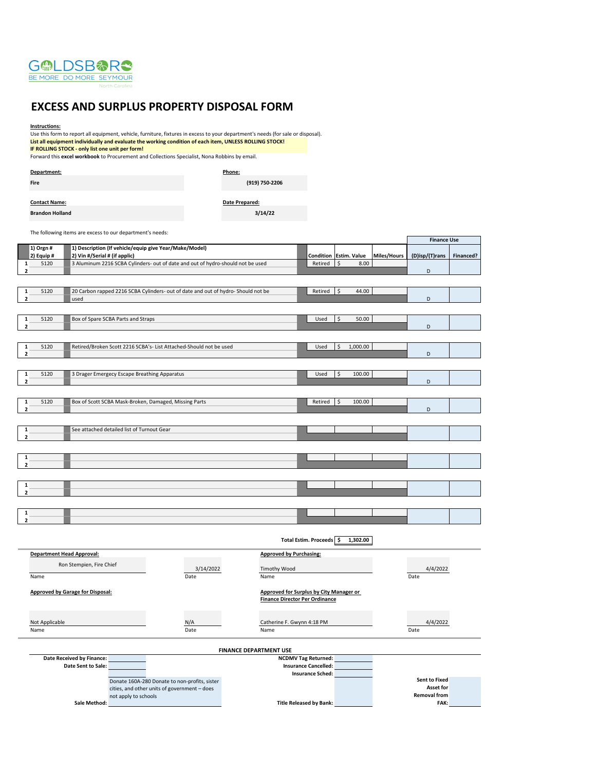

#### **EXCESS AND SURPLUS PROPERTY DISPOSAL FORM**

#### **Instructions:**

Use this form to report all equipment, vehicle, furniture, fixtures in excess to your department's needs (for sale or disposal). **List all equipment individually and evaluate the working condition of each item, UNLESS ROLLING STOCK! IF ROLLING STOCK - only list one unit per form!** Forward this **excel workbook** to Procurement and Collections Specialist, Nona Robbins by email. **Department: Phone:**

**Fire**

**(919) 750-2206**

**3/14/22**

| <b>Contact Name:</b>   | Date Prepared: |
|------------------------|----------------|
| <b>Brandon Holland</b> |                |

The following items are excess to our department's needs:

|                                  |                                                                                                                  |                                         |                             |                                   |             | <b>Finance Use</b>   |           |
|----------------------------------|------------------------------------------------------------------------------------------------------------------|-----------------------------------------|-----------------------------|-----------------------------------|-------------|----------------------|-----------|
| 1) Orgn #                        | 1) Description (If vehicle/equip give Year/Make/Model)                                                           |                                         |                             |                                   |             |                      |           |
| 2) Equip #<br>5120<br>1          | 2) Vin #/Serial # (if applic)<br>3 Aluminum 2216 SCBA Cylinders- out of date and out of hydro-should not be used |                                         | Condition<br>Retired        | <b>Estim. Value</b><br>\$<br>8.00 | Miles/Hours | (D)isp/(T)rans       | Financed? |
| $\mathbf 2$                      |                                                                                                                  |                                         |                             |                                   |             | D                    |           |
|                                  |                                                                                                                  |                                         |                             |                                   |             |                      |           |
| $\mathbf 1$<br>5120              | 20 Carbon rapped 2216 SCBA Cylinders- out of date and out of hydro- Should not be                                |                                         | Retired                     | 44.00<br>Ś                        |             |                      |           |
| $\overline{\mathbf{2}}$          | used                                                                                                             |                                         |                             |                                   |             | D                    |           |
|                                  |                                                                                                                  |                                         |                             |                                   |             |                      |           |
| 5120<br>$\mathbf 1$              | Box of Spare SCBA Parts and Straps                                                                               |                                         | Used                        | \$<br>50.00                       |             |                      |           |
| $\overline{\mathbf{2}}$          |                                                                                                                  |                                         |                             |                                   |             | D                    |           |
|                                  |                                                                                                                  |                                         |                             |                                   |             |                      |           |
| 5120<br>$\mathbf 1$              | Retired/Broken Scott 2216 SCBA's- List Attached-Should not be used                                               |                                         | Used                        | 1,000.00                          |             |                      |           |
| $\overline{\mathbf{2}}$          |                                                                                                                  |                                         |                             |                                   |             | $\mathsf D$          |           |
|                                  |                                                                                                                  |                                         |                             |                                   |             |                      |           |
| 5120<br>$\mathbf 1$              | 3 Drager Emergecy Escape Breathing Apparatus                                                                     |                                         | Used                        | 100.00<br>Ś                       |             |                      |           |
| $\overline{\mathbf{2}}$          |                                                                                                                  |                                         |                             |                                   |             | D                    |           |
|                                  |                                                                                                                  |                                         |                             |                                   |             |                      |           |
| 5120<br>1                        | Box of Scott SCBA Mask-Broken, Damaged, Missing Parts                                                            |                                         | Retired                     | 100.00<br>Ŝ                       |             |                      |           |
| $\overline{\mathbf{2}}$          |                                                                                                                  |                                         |                             |                                   |             | D                    |           |
|                                  |                                                                                                                  |                                         |                             |                                   |             |                      |           |
| 1                                | See attached detailed list of Turnout Gear                                                                       |                                         |                             |                                   |             |                      |           |
| $\overline{\mathbf{2}}$          |                                                                                                                  |                                         |                             |                                   |             |                      |           |
|                                  |                                                                                                                  |                                         |                             |                                   |             |                      |           |
| $\mathbf 1$                      |                                                                                                                  |                                         |                             |                                   |             |                      |           |
| $\overline{2}$                   |                                                                                                                  |                                         |                             |                                   |             |                      |           |
|                                  |                                                                                                                  |                                         |                             |                                   |             |                      |           |
| 1                                |                                                                                                                  |                                         |                             |                                   |             |                      |           |
| $\overline{2}$                   |                                                                                                                  |                                         |                             |                                   |             |                      |           |
|                                  |                                                                                                                  |                                         |                             |                                   |             |                      |           |
| 1                                |                                                                                                                  |                                         |                             |                                   |             |                      |           |
| $\overline{\mathbf{2}}$          |                                                                                                                  |                                         |                             |                                   |             |                      |           |
|                                  |                                                                                                                  |                                         |                             |                                   |             |                      |           |
|                                  |                                                                                                                  |                                         | Total Estim. Proceeds \$    | 1,302.00                          |             |                      |           |
| <b>Department Head Approval:</b> |                                                                                                                  | <b>Approved by Purchasing:</b>          |                             |                                   |             |                      |           |
|                                  | Ron Stempien, Fire Chief                                                                                         |                                         |                             |                                   |             |                      |           |
| Name                             | 3/14/2022<br>Date                                                                                                | Timothy Wood<br>Name                    |                             |                                   |             | 4/4/2022<br>Date     |           |
|                                  |                                                                                                                  |                                         |                             |                                   |             |                      |           |
|                                  | <b>Approved by Garage for Disposal:</b>                                                                          | Approved for Surplus by City Manager or |                             |                                   |             |                      |           |
|                                  |                                                                                                                  | <b>Finance Director Per Ordinance</b>   |                             |                                   |             |                      |           |
|                                  |                                                                                                                  |                                         |                             |                                   |             |                      |           |
|                                  | N/A<br>Not Applicable<br>Catherine F. Gwynn 4:18 PM                                                              |                                         |                             |                                   |             | 4/4/2022             |           |
| Name                             | Date                                                                                                             | Name                                    |                             |                                   |             | Date                 |           |
|                                  |                                                                                                                  |                                         |                             |                                   |             |                      |           |
|                                  |                                                                                                                  | <b>FINANCE DEPARTMENT USE</b>           |                             |                                   |             |                      |           |
|                                  | <b>Date Received by Finance:</b>                                                                                 | <b>NCDMV Tag Returned:</b>              |                             |                                   |             |                      |           |
|                                  | Date Sent to Sale:                                                                                               |                                         | <b>Insurance Cancelled:</b> |                                   |             |                      |           |
|                                  | Donate 160A-280 Donate to non-profits, sister                                                                    |                                         | <b>Insurance Sched:</b>     |                                   |             | <b>Sent to Fixed</b> |           |
|                                  | cities, and other units of government - does                                                                     |                                         |                             |                                   |             | <b>Asset for</b>     |           |
|                                  | not apply to schools                                                                                             |                                         |                             |                                   |             | <b>Removal from</b>  |           |
|                                  | Sale Method:                                                                                                     | <b>Title Released by Bank:</b>          |                             |                                   |             | FAK:                 |           |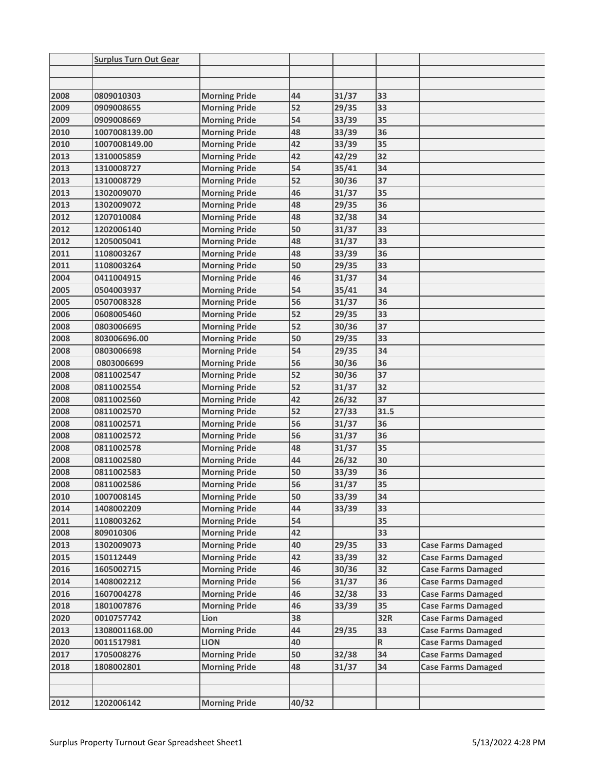|      | <b>Surplus Turn Out Gear</b> |                      |       |       |      |                           |
|------|------------------------------|----------------------|-------|-------|------|---------------------------|
|      |                              |                      |       |       |      |                           |
|      |                              |                      |       |       |      |                           |
| 2008 | 0809010303                   | <b>Morning Pride</b> | 44    | 31/37 | 33   |                           |
| 2009 | 0909008655                   | <b>Morning Pride</b> | 52    | 29/35 | 33   |                           |
| 2009 | 0909008669                   | <b>Morning Pride</b> | 54    | 33/39 | 35   |                           |
| 2010 | 1007008139.00                | <b>Morning Pride</b> | 48    | 33/39 | 36   |                           |
| 2010 | 1007008149.00                | <b>Morning Pride</b> | 42    | 33/39 | 35   |                           |
| 2013 | 1310005859                   | <b>Morning Pride</b> | 42    | 42/29 | 32   |                           |
| 2013 | 1310008727                   | <b>Morning Pride</b> | 54    | 35/41 | 34   |                           |
| 2013 | 1310008729                   | <b>Morning Pride</b> | 52    | 30/36 | 37   |                           |
| 2013 | 1302009070                   | <b>Morning Pride</b> | 46    | 31/37 | 35   |                           |
| 2013 | 1302009072                   | <b>Morning Pride</b> | 48    | 29/35 | 36   |                           |
| 2012 | 1207010084                   | <b>Morning Pride</b> | 48    | 32/38 | 34   |                           |
| 2012 | 1202006140                   | <b>Morning Pride</b> | 50    | 31/37 | 33   |                           |
| 2012 | 1205005041                   | <b>Morning Pride</b> | 48    | 31/37 | 33   |                           |
| 2011 | 1108003267                   | <b>Morning Pride</b> | 48    | 33/39 | 36   |                           |
| 2011 | 1108003264                   | <b>Morning Pride</b> | 50    | 29/35 | 33   |                           |
| 2004 | 0411004915                   | <b>Morning Pride</b> | 46    | 31/37 | 34   |                           |
| 2005 | 0504003937                   | <b>Morning Pride</b> | 54    | 35/41 | 34   |                           |
| 2005 | 0507008328                   | <b>Morning Pride</b> | 56    | 31/37 | 36   |                           |
| 2006 | 0608005460                   | <b>Morning Pride</b> | 52    | 29/35 | 33   |                           |
| 2008 | 0803006695                   | <b>Morning Pride</b> | 52    | 30/36 | 37   |                           |
| 2008 | 803006696.00                 | <b>Morning Pride</b> | 50    | 29/35 | 33   |                           |
| 2008 | 0803006698                   | <b>Morning Pride</b> | 54    | 29/35 | 34   |                           |
| 2008 | 0803006699                   | <b>Morning Pride</b> | 56    | 30/36 | 36   |                           |
| 2008 | 0811002547                   | <b>Morning Pride</b> | 52    | 30/36 | 37   |                           |
| 2008 | 0811002554                   | <b>Morning Pride</b> | 52    | 31/37 | 32   |                           |
| 2008 | 0811002560                   | <b>Morning Pride</b> | 42    | 26/32 | 37   |                           |
| 2008 | 0811002570                   | <b>Morning Pride</b> | 52    | 27/33 | 31.5 |                           |
| 2008 | 0811002571                   | <b>Morning Pride</b> | 56    | 31/37 | 36   |                           |
| 2008 | 0811002572                   | <b>Morning Pride</b> | 56    | 31/37 | 36   |                           |
| 2008 | 0811002578                   | <b>Morning Pride</b> | 48    | 31/37 | 35   |                           |
| 2008 | 0811002580                   | <b>Morning Pride</b> | 44    | 26/32 | 30   |                           |
| 2008 | 0811002583                   | <b>Morning Pride</b> | 50    | 33/39 | 36   |                           |
| 2008 | <b>0811002586</b>            | <b>Morning Pride</b> | 56    | 31/37 | 35   |                           |
| 2010 | 1007008145                   | <b>Morning Pride</b> | 50    | 33/39 | 34   |                           |
| 2014 | 1408002209                   | <b>Morning Pride</b> | 44    | 33/39 | 33   |                           |
| 2011 | 1108003262                   | <b>Morning Pride</b> | 54    |       | 35   |                           |
| 2008 | 809010306                    | <b>Morning Pride</b> | 42    |       | 33   |                           |
| 2013 | 1302009073                   | <b>Morning Pride</b> | 40    | 29/35 | 33   | <b>Case Farms Damaged</b> |
| 2015 | 150112449                    | <b>Morning Pride</b> | 42    | 33/39 | 32   | <b>Case Farms Damaged</b> |
| 2016 | 1605002715                   | <b>Morning Pride</b> | 46    | 30/36 | 32   | <b>Case Farms Damaged</b> |
| 2014 | 1408002212                   | <b>Morning Pride</b> | 56    | 31/37 | 36   | <b>Case Farms Damaged</b> |
| 2016 | 1607004278                   | <b>Morning Pride</b> | 46    | 32/38 | 33   | <b>Case Farms Damaged</b> |
| 2018 | 1801007876                   | <b>Morning Pride</b> | 46    | 33/39 | 35   | <b>Case Farms Damaged</b> |
| 2020 | 0010757742                   | Lion                 | 38    |       | 32R  | <b>Case Farms Damaged</b> |
| 2013 | 1308001168.00                | <b>Morning Pride</b> | 44    | 29/35 | 33   | <b>Case Farms Damaged</b> |
| 2020 | 0011517981                   | <b>LION</b>          | 40    |       | R    | <b>Case Farms Damaged</b> |
| 2017 | 1705008276                   | <b>Morning Pride</b> | 50    | 32/38 | 34   | <b>Case Farms Damaged</b> |
| 2018 | 1808002801                   | <b>Morning Pride</b> | 48    | 31/37 | 34   | <b>Case Farms Damaged</b> |
|      |                              |                      |       |       |      |                           |
|      |                              |                      |       |       |      |                           |
| 2012 | 1202006142                   | <b>Morning Pride</b> | 40/32 |       |      |                           |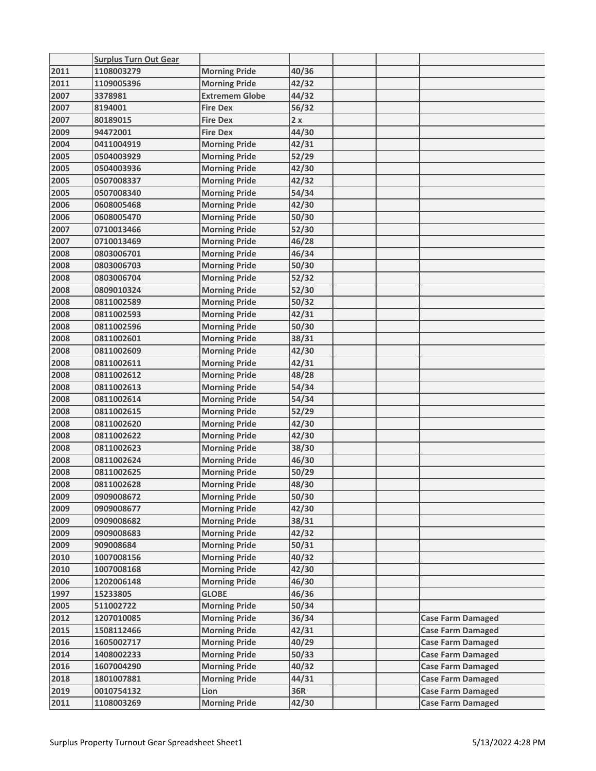|              | <b>Surplus Turn Out Gear</b> |                              |                |  |                                                      |
|--------------|------------------------------|------------------------------|----------------|--|------------------------------------------------------|
| 2011         | 1108003279                   | <b>Morning Pride</b>         | 40/36          |  |                                                      |
| 2011         | 1109005396                   | <b>Morning Pride</b>         | 42/32          |  |                                                      |
| 2007         | 3378981                      | <b>Extremem Globe</b>        | 44/32          |  |                                                      |
| 2007         | 8194001                      | <b>Fire Dex</b>              | 56/32          |  |                                                      |
| 2007         | 80189015                     | <b>Fire Dex</b>              | 2x             |  |                                                      |
| 2009         | 94472001                     | <b>Fire Dex</b>              | 44/30          |  |                                                      |
| 2004         | 0411004919                   | <b>Morning Pride</b>         | 42/31          |  |                                                      |
| 2005         | 0504003929                   | <b>Morning Pride</b>         | 52/29          |  |                                                      |
| 2005         | 0504003936                   | <b>Morning Pride</b>         | 42/30          |  |                                                      |
| 2005         | 0507008337                   | <b>Morning Pride</b>         | 42/32          |  |                                                      |
| 2005         | 0507008340                   | <b>Morning Pride</b>         | 54/34          |  |                                                      |
| 2006         | 0608005468                   | <b>Morning Pride</b>         | 42/30          |  |                                                      |
| 2006         | 0608005470                   | <b>Morning Pride</b>         | 50/30          |  |                                                      |
| 2007         | 0710013466                   | <b>Morning Pride</b>         | 52/30          |  |                                                      |
| 2007         | 0710013469                   | <b>Morning Pride</b>         | 46/28          |  |                                                      |
| 2008         | 0803006701                   | <b>Morning Pride</b>         | 46/34          |  |                                                      |
| 2008         | 0803006703                   | <b>Morning Pride</b>         | 50/30          |  |                                                      |
| 2008         | 0803006704                   | <b>Morning Pride</b>         | 52/32          |  |                                                      |
| 2008         | 0809010324                   | <b>Morning Pride</b>         | 52/30          |  |                                                      |
| 2008         | 0811002589                   | <b>Morning Pride</b>         | 50/32          |  |                                                      |
| 2008         | 0811002593                   | <b>Morning Pride</b>         | 42/31          |  |                                                      |
| 2008         | 0811002596                   | <b>Morning Pride</b>         | 50/30          |  |                                                      |
| 2008         | 0811002601                   | <b>Morning Pride</b>         | 38/31          |  |                                                      |
| 2008         | 0811002609                   | <b>Morning Pride</b>         | 42/30          |  |                                                      |
| 2008         | 0811002611                   | <b>Morning Pride</b>         | 42/31          |  |                                                      |
| 2008         | 0811002612                   | <b>Morning Pride</b>         | 48/28          |  |                                                      |
| 2008         | 0811002613                   | <b>Morning Pride</b>         | 54/34          |  |                                                      |
| 2008         | 0811002614                   | <b>Morning Pride</b>         | 54/34          |  |                                                      |
| 2008         | 0811002615                   | <b>Morning Pride</b>         | 52/29          |  |                                                      |
| 2008         | 0811002620                   | <b>Morning Pride</b>         | 42/30          |  |                                                      |
| 2008         | 0811002622                   | <b>Morning Pride</b>         | 42/30          |  |                                                      |
| 2008         | 0811002623                   | <b>Morning Pride</b>         | 38/30          |  |                                                      |
| 2008         | 0811002624                   | <b>Morning Pride</b>         | 46/30          |  |                                                      |
| 2008         | 0811002625                   | <b>Morning Pride</b>         | 50/29          |  |                                                      |
| 2008         | 0811002628                   | <b>Morning Pride</b>         | 48/30          |  |                                                      |
| 2009         | 0909008672                   | <b>Morning Pride</b>         | 50/30          |  |                                                      |
| 2009         | 0909008677                   | <b>Morning Pride</b>         | 42/30          |  |                                                      |
| 2009         | 0909008682                   | <b>Morning Pride</b>         | 38/31          |  |                                                      |
| 2009         | 0909008683                   | <b>Morning Pride</b>         | 42/32          |  |                                                      |
| 2009         | 909008684                    | <b>Morning Pride</b>         | 50/31          |  |                                                      |
| 2010         | 1007008156                   | <b>Morning Pride</b>         | 40/32          |  |                                                      |
| 2010         | 1007008168                   | <b>Morning Pride</b>         | 42/30          |  |                                                      |
| 2006         | 1202006148                   | <b>Morning Pride</b>         | 46/30          |  |                                                      |
| 1997         | 15233805                     | <b>GLOBE</b>                 | 46/36          |  |                                                      |
| 2005         | 511002722                    | <b>Morning Pride</b>         | 50/34          |  |                                                      |
| 2012         | 1207010085                   | <b>Morning Pride</b>         | 36/34          |  | <b>Case Farm Damaged</b>                             |
| 2015         | 1508112466                   | <b>Morning Pride</b>         | 42/31          |  |                                                      |
|              |                              | <b>Morning Pride</b>         |                |  | <b>Case Farm Damaged</b>                             |
| 2016<br>2014 | 1605002717<br>1408002233     | <b>Morning Pride</b>         | 40/29<br>50/33 |  | <b>Case Farm Damaged</b><br><b>Case Farm Damaged</b> |
|              | 1607004290                   | <b>Morning Pride</b>         |                |  |                                                      |
| 2016<br>2018 |                              |                              | 40/32<br>44/31 |  | <b>Case Farm Damaged</b>                             |
| 2019         | 1801007881<br>0010754132     | <b>Morning Pride</b><br>Lion | 36R            |  | <b>Case Farm Damaged</b>                             |
|              | 1108003269                   |                              |                |  | <b>Case Farm Damaged</b>                             |
| 2011         |                              | <b>Morning Pride</b>         | 42/30          |  | <b>Case Farm Damaged</b>                             |